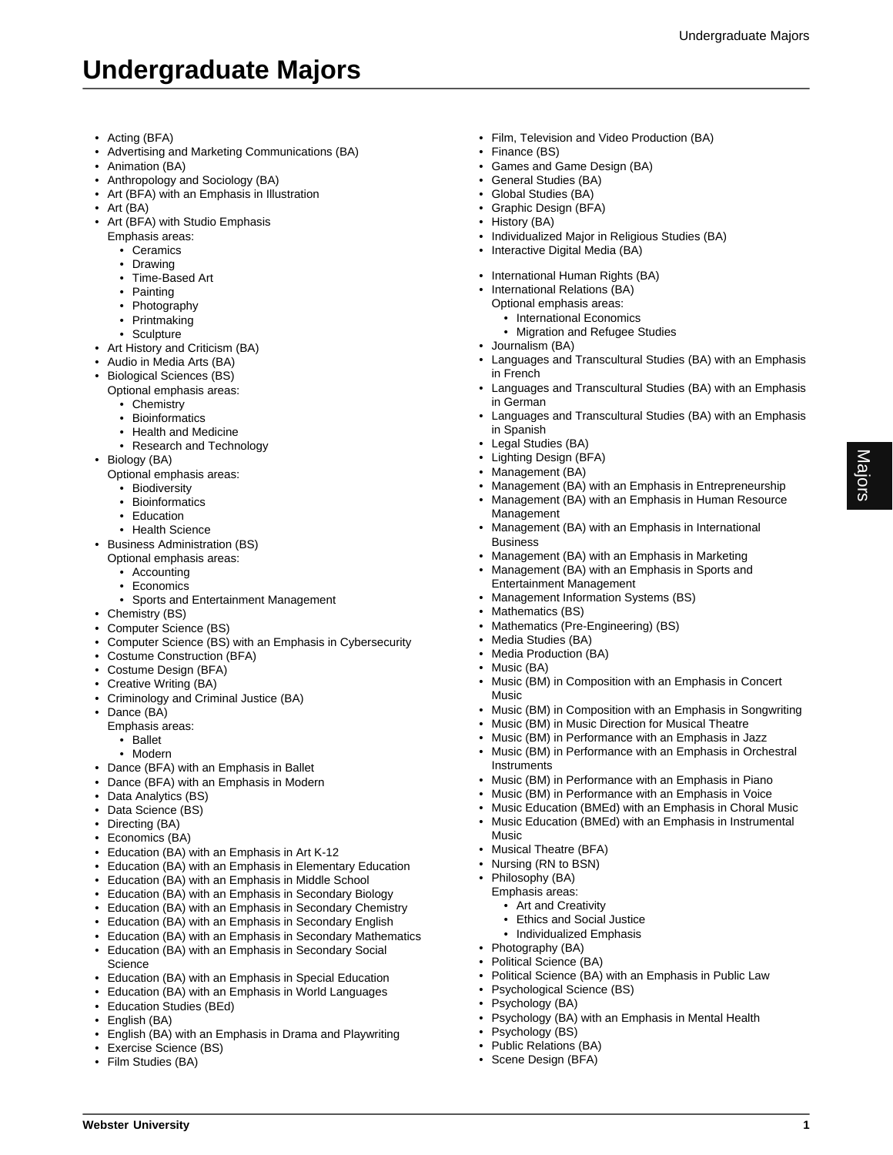Majors

## **Undergraduate Majors**

- Acting (BFA)
- Advertising and Marketing Communications (BA)
- Animation (BA)
- Anthropology and Sociology (BA)
- Art (BFA) with an Emphasis in Illustration
- Art (BA)
- Art (BFA) with Studio Emphasis
	- Emphasis areas:
		- Ceramics
		- Drawing
		- Time-Based Art
		- Painting
		- Photography
		- Printmaking
		- Sculpture
- Art History and Criticism (BA)
- Audio in Media Arts (BA)
- Biological Sciences (BS)
	- Optional emphasis areas:
		- Chemistry
		- Bioinformatics
		- Health and Medicine
		- Research and Technology
- Biology (BA)
	- Optional emphasis areas:
		- Biodiversity
		- Bioinformatics
		- Education
		- Health Science
- Business Administration (BS)
	- Optional emphasis areas:
		- Accounting
		- Economics
	- Sports and Entertainment Management
- Chemistry (BS)
- Computer Science (BS)
- Computer Science (BS) with an Emphasis in Cybersecurity
- Costume Construction (BFA)
- Costume Design (BFA)
- Creative Writing (BA)
- Criminology and Criminal Justice (BA)
- Dance (BA)
	- Emphasis areas:
		- Ballet
		- Modern
- Dance (BFA) with an Emphasis in Ballet
- Dance (BFA) with an Emphasis in Modern
- Data Analytics (BS)
- Data Science (BS)
- Directing (BA)
- Economics (BA)
- Education (BA) with an Emphasis in Art K-12
- Education (BA) with an Emphasis in Elementary Education
- Education (BA) with an Emphasis in Middle School
- Education (BA) with an Emphasis in Secondary Biology
- Education (BA) with an Emphasis in Secondary Chemistry
- Education (BA) with an Emphasis in Secondary English
- Education (BA) with an Emphasis in Secondary Mathematics • Education (BA) with an Emphasis in Secondary Social Science
- Education (BA) with an Emphasis in Special Education
- Education (BA) with an Emphasis in World Languages
- Education Studies (BEd)
- English (BA)
- English (BA) with an Emphasis in Drama and Playwriting
- Exercise Science (BS)
- Film Studies (BA)
- Film, Television and Video Production (BA)
- Finance (BS)
- Games and Game Design (BA)
- General Studies (BA)
- Global Studies (BA)
- Graphic Design (BFA)
- History (BA)
- Individualized Major in Religious Studies (BA)
- Interactive Digital Media (BA)
- International Human Rights (BA)
- International Relations (BA)
- Optional emphasis areas:
	- International Economics
	- Migration and Refugee Studies
- Journalism (BA)
- Languages and Transcultural Studies (BA) with an Emphasis in French
- Languages and Transcultural Studies (BA) with an Emphasis in German
- Languages and Transcultural Studies (BA) with an Emphasis in Spanish
- Legal Studies (BA)
- Lighting Design (BFA)
- Management (BA)
- Management (BA) with an Emphasis in Entrepreneurship • Management (BA) with an Emphasis in Human Resource
- Management • Management (BA) with an Emphasis in International Business
- Management (BA) with an Emphasis in Marketing
- Management (BA) with an Emphasis in Sports and
- Entertainment Management
- Management Information Systems (BS)
- Mathematics (BS)
- Mathematics (Pre-Engineering) (BS)
- Media Studies (BA)
- Media Production (BA)

**Instruments** 

• Musical Theatre (BFA) • Nursing (RN to BSN) • Philosophy (BA) Emphasis areas: • Art and Creativity • Ethics and Social Justice • Individualized Emphasis

• Photography (BA) • Political Science (BA)

Psychology (BS) • Public Relations (BA) • Scene Design (BFA)

**Webster University 1**

• Psychological Science (BS) Psychology (BA)

Music

- Music (BA)
- Music (BM) in Composition with an Emphasis in Concert Music

• Music (BM) in Performance with an Emphasis in Piano • Music (BM) in Performance with an Emphasis in Voice • Music Education (BMEd) with an Emphasis in Choral Music • Music Education (BMEd) with an Emphasis in Instrumental

• Political Science (BA) with an Emphasis in Public Law

• Psychology (BA) with an Emphasis in Mental Health

• Music (BM) in Composition with an Emphasis in Songwriting • Music (BM) in Music Direction for Musical Theatre • Music (BM) in Performance with an Emphasis in Jazz • Music (BM) in Performance with an Emphasis in Orchestral